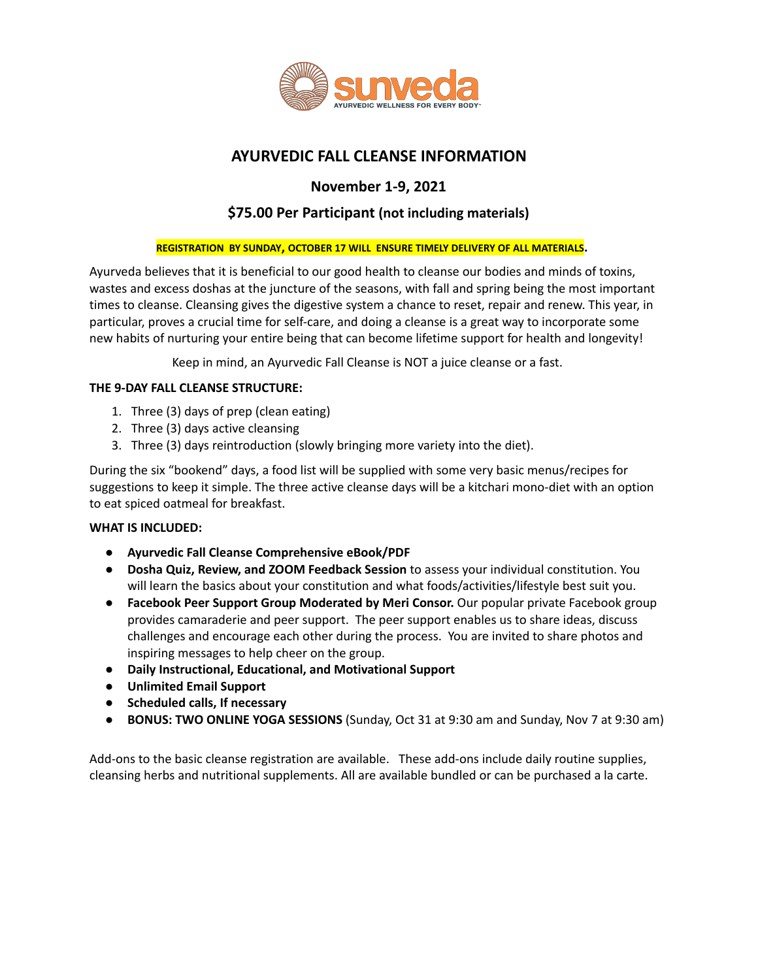

# **AYURVEDIC FALL CLEANSE INFORMATION**

# **November 1-9, 2021**

## **\$75.00 Per Participant (not including materials)**

#### **REGISTRATION BY SUNDAY, OCTOBER 17 WILL ENSURE TIMELY DELIVERY OF ALL MATERIALS.**

Ayurveda believes that it is beneficial to our good health to cleanse our bodies and minds of toxins, wastes and excess doshas at the juncture of the seasons, with fall and spring being the most important times to cleanse. Cleansing gives the digestive system a chance to reset, repair and renew. This year, in particular, proves a crucial time for self-care, and doing a cleanse is a great way to incorporate some new habits of nurturing your entire being that can become lifetime support for health and longevity!

Keep in mind, an Ayurvedic Fall Cleanse is NOT a juice cleanse or a fast.

#### **THE 9-DAY FALL CLEANSE STRUCTURE:**

- 1. Three (3) days of prep (clean eating)
- 2. Three (3) days active cleansing
- 3. Three (3) days reintroduction (slowly bringing more variety into the diet).

During the six "bookend" days, a food list will be supplied with some very basic menus/recipes for suggestions to keep it simple. The three active cleanse days will be a kitchari mono-diet with an option to eat spiced oatmeal for breakfast.

#### **WHAT IS INCLUDED:**

- **Ayurvedic Fall Cleanse Comprehensive eBook/PDF**
- **Dosha Quiz, Review, and ZOOM Feedback Session** to assess your individual constitution. You will learn the basics about your constitution and what foods/activities/lifestyle best suit you.
- **Facebook Peer Support Group Moderated by Meri Consor.** Our popular private Facebook group provides camaraderie and peer support. The peer support enables us to share ideas, discuss challenges and encourage each other during the process. You are invited to share photos and inspiring messages to help cheer on the group.
- **Daily Instructional, Educational, and Motivational Support**
- **Unlimited Email Support**
- **Scheduled calls, If necessary**
- **BONUS: TWO ONLINE YOGA SESSIONS** (Sunday, Oct 31 at 9:30 am and Sunday, Nov 7 at 9:30 am)

Add-ons to the basic cleanse registration are available. These add-ons include daily routine supplies, cleansing herbs and nutritional supplements. All are available bundled or can be purchased a la carte.